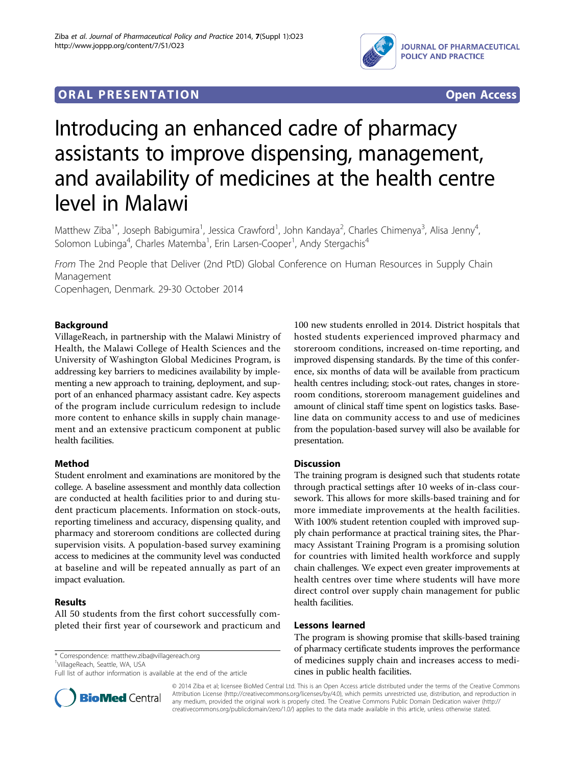

# **ORAL PRESENTATION OPEN ACCESS**

# Introducing an enhanced cadre of pharmacy assistants to improve dispensing, management, and availability of medicines at the health centre level in Malawi

Matthew Ziba<sup>1\*</sup>, Joseph Babigumira<sup>1</sup>, Jessica Crawford<sup>1</sup>, John Kandaya<sup>2</sup>, Charles Chimenya<sup>3</sup>, Alisa Jenny<sup>4</sup> , Solomon Lubinga<sup>4</sup>, Charles Matemba<sup>1</sup>, Erin Larsen-Cooper<sup>1</sup>, Andy Stergachis<sup>4</sup>

From The 2nd People that Deliver (2nd PtD) Global Conference on Human Resources in Supply Chain Management

Copenhagen, Denmark. 29-30 October 2014

# Background

VillageReach, in partnership with the Malawi Ministry of Health, the Malawi College of Health Sciences and the University of Washington Global Medicines Program, is addressing key barriers to medicines availability by implementing a new approach to training, deployment, and support of an enhanced pharmacy assistant cadre. Key aspects of the program include curriculum redesign to include more content to enhance skills in supply chain management and an extensive practicum component at public health facilities.

# Method

Student enrolment and examinations are monitored by the college. A baseline assessment and monthly data collection are conducted at health facilities prior to and during student practicum placements. Information on stock-outs, reporting timeliness and accuracy, dispensing quality, and pharmacy and storeroom conditions are collected during supervision visits. A population-based survey examining access to medicines at the community level was conducted at baseline and will be repeated annually as part of an impact evaluation.

# Results

All 50 students from the first cohort successfully completed their first year of coursework and practicum and

\* Correspondence: [matthew.ziba@villagereach.org](mailto:matthew.ziba@villagereach.org)

<sup>1</sup>VillageReach, Seattle, WA, USA

Full list of author information is available at the end of the article



#### **Discussion**

The training program is designed such that students rotate through practical settings after 10 weeks of in-class coursework. This allows for more skills-based training and for more immediate improvements at the health facilities. With 100% student retention coupled with improved supply chain performance at practical training sites, the Pharmacy Assistant Training Program is a promising solution for countries with limited health workforce and supply chain challenges. We expect even greater improvements at health centres over time where students will have more direct control over supply chain management for public health facilities.

#### Lessons learned

The program is showing promise that skills-based training of pharmacy certificate students improves the performance of medicines supply chain and increases access to medicines in public health facilities.



© 2014 Ziba et al; licensee BioMed Central Ltd. This is an Open Access article distributed under the terms of the Creative Commons Attribution License [\(http://creativecommons.org/licenses/by/4.0](http://creativecommons.org/licenses/by/4.0)), which permits unrestricted use, distribution, and reproduction in any medium, provided the original work is properly cited. The Creative Commons Public Domain Dedication waiver [\(http://](http://creativecommons.org/publicdomain/zero/1.0/) [creativecommons.org/publicdomain/zero/1.0/](http://creativecommons.org/publicdomain/zero/1.0/)) applies to the data made available in this article, unless otherwise stated.